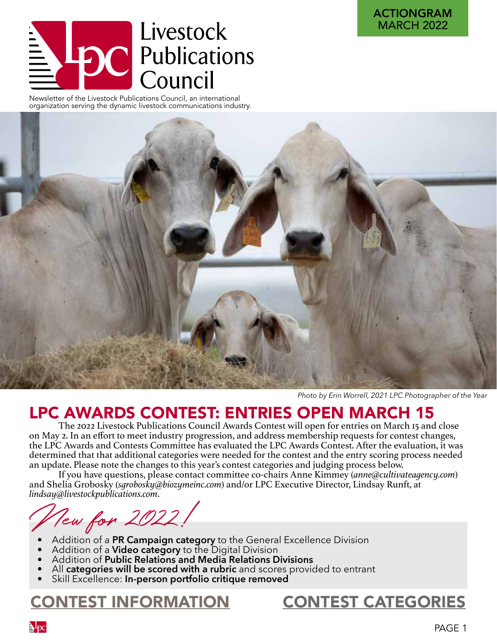# Livestock  $\equiv \sum_{\text{Newsletter of the Lives tock Publications} }\overline{\text{C}}$

organization serving the dynamic livestock communications industry.



*Photo by Erin Worrell, 2021 LPC Photographer of the Year* 

# LPC AWARDS CONTEST: ENTRIES OPEN MARCH 15

The 2022 Livestock Publications Council Awards Contest will open for entries on March 15 and close on May 2. In an effort to meet industry progression, and address membership requests for contest changes, the LPC Awards and Contests Committee has evaluated the LPC Awards Contest. After the evaluation, it was determined that that additional categories were needed for the contest and the entry scoring process needed an update. Please note the changes to this year's contest categories and judging process below.

If you have questions, please contact committee co-chairs Anne Kimmey (*anne@cultivateagency.com*) and Shelia Grobosky (*sgrobosky@biozymeinc.com*) and/or LPC Executive Director, Lindsay Runft, at *lindsay@livestockpublications.com*.

New for 2022!

- 
- 
- 
- Addition of a **PR Campaign category** to the General Excellence Division<br>Addition of a **Video category** to the Digital Division<br>Addition of **Public Relations and Media Relations Divisions**<br>All **categories will be scored wit**
- 

# [CONTEST INFORMATION](https://livestockpublications.com/lpc-contests/information/) [CONTEST CATEGORIES](https://livestockpublications.com/lpc-contests/categories/)

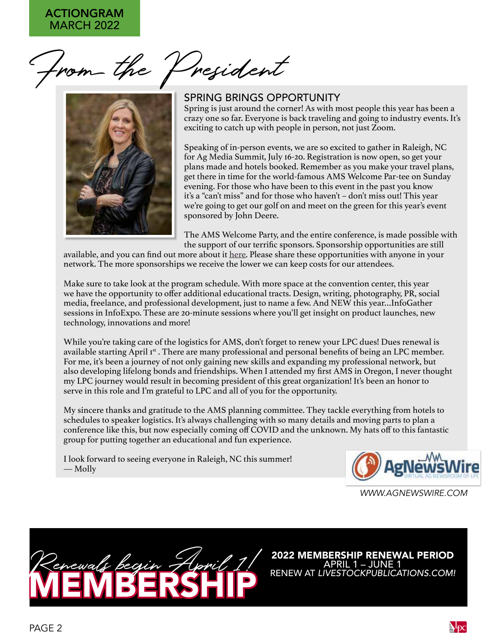From the President



#### SPRING BRINGS OPPORTUNITY

Spring is just around the corner! As with most people this year has been a crazy one so far. Everyone is back traveling and going to industry events. It's exciting to catch up with people in person, not just Zoom.

Speaking of in-person events, we are so excited to gather in Raleigh, NC for Ag Media Summit, July 16-20. Registration is now open, so get your plans made and hotels booked. Remember as you make your travel plans, get there in time for the world-famous AMS Welcome Par-tee on Sunday evening. For those who have been to this event in the past you know it's a "can't miss" and for those who haven't – don't miss out! This year we're going to get our golf on and meet on the green for this year's event sponsored by John Deere.

The AMS Welcome Party, and the entire conference, is made possible with the support of our terrific sponsors. Sponsorship opportunities are still

available, and you can find out more about it [here.](https://agmediasummit.com/sponsorships/) Please share these opportunities with anyone in your network. The more sponsorships we receive the lower we can keep costs for our attendees.

Make sure to take look at the program schedule. With more space at the convention center, this year we have the opportunity to offer additional educational tracts. Design, writing, photography, PR, social media, freelance, and professional development, just to name a few. And NEW this year…InfoGather sessions in InfoExpo. These are 20-minute sessions where you'll get insight on product launches, new technology, innovations and more!

While you're taking care of the logistics for AMS, don't forget to renew your LPC dues! Dues renewal is available starting April 1st. There are many professional and personal benefits of being an LPC member. For me, it's been a journey of not only gaining new skills and expanding my professional network, but also developing lifelong bonds and friendships. When I attended my first AMS in Oregon, I never thought my LPC journey would result in becoming president of this great organization! It's been an honor to serve in this role and I'm grateful to LPC and all of you for the opportunity.

My sincere thanks and gratitude to the AMS planning committee. They tackle everything from hotels to schedules to speaker logistics. It's always challenging with so many details and moving parts to plan a conference like this, but now especially coming off COVID and the unknown. My hats off to this fantastic group for putting together an educational and fun experience.

I look forward to seeing everyone in Raleigh, NC this summer! — Molly



*WWW.AGNEWSWIRE.COM*



**2022 MEMBERSHIP RENEWAL PERIOD**<br>APRIL 1 – JUNE 1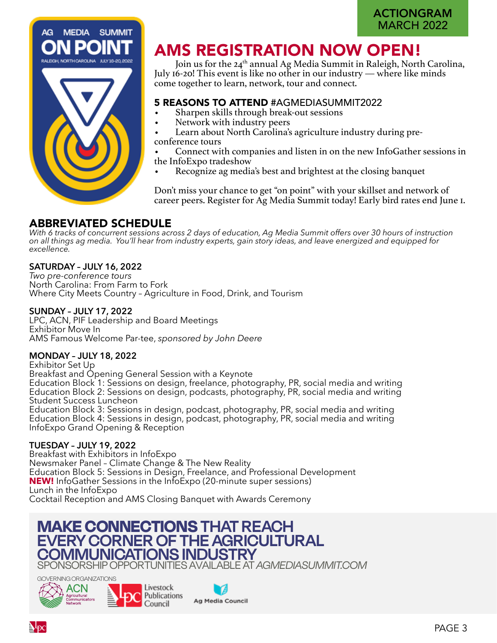

# AMS REGISTRATION NOW OPEN!

Join us for the 24<sup>th</sup> annual Ag Media Summit in Raleigh, North Carolina, July 16-20! This event is like no other in our industry — where like minds come together to learn, network, tour and connect.

#### 5 REASONS TO ATTEND #AGMEDIASUMMIT2022

- Sharpen skills through break-out sessions
- Network with industry peers

• Learn about North Carolina's agriculture industry during preconference tours

• Connect with companies and listen in on the new InfoGather sessions in the InfoExpo tradeshow

• Recognize ag media's best and brightest at the closing banquet

Don't miss your chance to get "on point" with your skillset and network of career peers. Register for Ag Media Summit today! Early bird rates end June 1.

#### ABBREVIATED SCHEDULE

*With 6 tracks of concurrent sessions across 2 days of education, Ag Media Summit offers over 30 hours of instruction on all things ag media. You'll hear from industry experts, gain story ideas, and leave energized and equipped for excellence.*

#### **SATURDAY – JULY 16, 2022**

*Two pre-conference tours* North Carolina: From Farm to Fork Where City Meets Country – Agriculture in Food, Drink, and Tourism

#### **SUNDAY – JULY 17, 2022**

LPC, ACN, PIF Leadership and Board Meetings Exhibitor Move In AMS Famous Welcome Par-tee, *sponsored by John Deere*

#### **MONDAY – JULY 18, 2022**

Exhibitor Set Up Breakfast and Opening General Session with a Keynote Education Block 1: Sessions on design, freelance, photography, PR, social media and writing Education Block 2: Sessions on design, podcasts, photography, PR, social media and writing Student Success Luncheon Education Block 3: Sessions in design, podcast, photography, PR, social media and writing Education Block 4: Sessions in design, podcast, photography, PR, social media and writing InfoExpo Grand Opening & Reception

#### **TUESDAY – JULY 19, 2022**

Breakfast with Exhibitors in InfoExpo Newsmaker Panel – Climate Change & The New Reality Education Block 5: Sessions in Design, Freelance, and Professional Development **NEW!** InfoGather Sessions in the InfoExpo (20-minute super sessions) Lunch in the InfoExpo Cocktail Reception and AMS Closing Banquet with Awards Ceremony

# **MAKE CONNECTIONS THAT REACH EVERY CORNER OF THE AGRICULTURAL COMMUNICATIONS IN**

SPONSORSHIP OPPORTUNITIES AVAILABLE AT *AGMEDIASUMMIT.COM* 





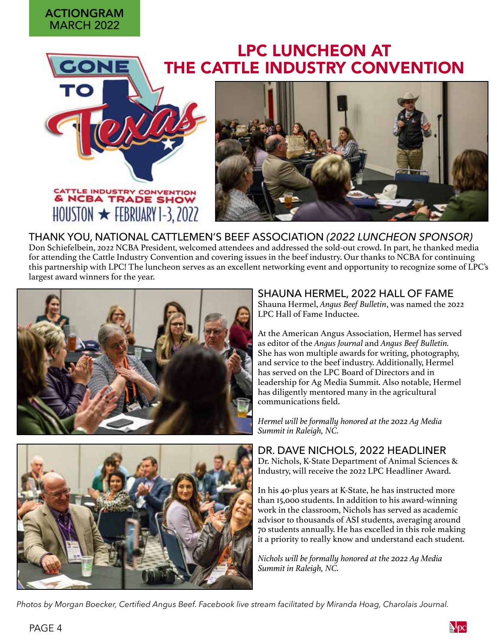#### MARCH 2022 ACTIONGRAM

# LPC LUNCHEON AT [THE CATTL](https://bit.ly/2022NCBALuncheon)E INDUSTRY CONVENTION





THANK YOU, NATIONAL CATTLEMEN'S BEEF ASSOCIATION *(2022 LUNCHEON SPONSOR)*  Don Schiefelbein, 2022 NCBA President, welcomed attendees and addressed the sold-out crowd. In part, he thanked media for attending the Cattle Industry Convention and covering issues in the beef industry. Our thanks to NCBA for continuing this partnership with LPC! The luncheon serves as an excellent networking event and opportunity to recognize some of LPC's largest award winners for the year.





#### SHAUNA HERMEL, 2022 HALL OF FAME

Shauna Hermel, *Angus Beef Bulletin*, was named the 2022 LPC Hall of Fame Inductee.

At the American Angus Association, Hermel has served as editor of the *Angus Journal* and *Angus Beef Bulletin.*  She has won multiple awards for writing, photography, and service to the beef industry. Additionally, Hermel has served on the LPC Board of Directors and in leadership for Ag Media Summit. Also notable, Hermel has diligently mentored many in the agricultural communications field.

*Hermel will be formally honored at the 2022 Ag Media Summit in Raleigh, NC.* 

DR. DAVE NICHOLS, 2022 HEADLINER

Dr. Nichols, K-State Department of Animal Sciences & Industry, will receive the 2022 LPC Headliner Award.

In his 40-plus years at K-State, he has instructed more than 15,000 students. In addition to his award-winning work in the classroom, Nichols has served as academic advisor to thousands of ASI students, averaging around 70 students annually. He has excelled in this role making it a priority to really know and understand each student.

*Nichols will be formally honored at the 2022 Ag Media Summit in Raleigh, NC.* 

*Photos by Morgan Boecker, Certified Angus Beef. Facebook live stream facilitated by Miranda Hoag, Charolais Journal.*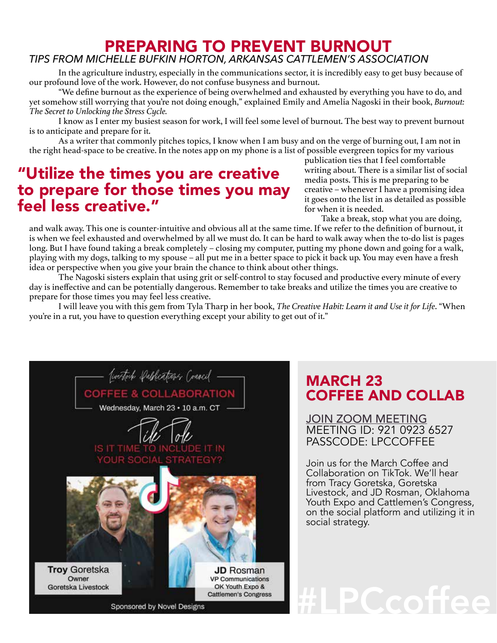# PREPARING TO PREVENT BURNOUT

### *TIPS FROM MICHELLE BUFKIN HORTON, ARKANSAS CATTLEMEN'S ASSOCIATION*

In the agriculture industry, especially in the communications sector, it is incredibly easy to get busy because of our profound love of the work. However, do not confuse busyness and burnout.

"We define burnout as the experience of being overwhelmed and exhausted by everything you have to do, and yet somehow still worrying that you're not doing enough," explained Emily and Amelia Nagoski in their book, *Burnout: The Secret to Unlocking the Stress Cycle.* 

I know as I enter my busiest season for work, I will feel some level of burnout. The best way to prevent burnout is to anticipate and prepare for it.

As a writer that commonly pitches topics, I know when I am busy and on the verge of burning out, I am not in the right head-space to be creative. In the notes app on my phone is a list of possible evergreen topics for my various

# "Utilize the times you are creative to prepare for those times you may feel less creative."

publication ties that I feel comfortable writing about. There is a similar list of social media posts. This is me preparing to be creative – whenever I have a promising idea it goes onto the list in as detailed as possible for when it is needed.

Take a break, stop what you are doing,

and walk away. This one is counter-intuitive and obvious all at the same time. If we refer to the definition of burnout, it is when we feel exhausted and overwhelmed by all we must do. It can be hard to walk away when the to-do list is pages long. But I have found taking a break completely – closing my computer, putting my phone down and going for a walk, playing with my dogs, talking to my spouse – all put me in a better space to pick it back up. You may even have a fresh idea or perspective when you give your brain the chance to think about other things.

The Nagoski sisters explain that using grit or self-control to stay focused and productive every minute of every day is ineffective and can be potentially dangerous. Remember to take breaks and utilize the times you are creative to prepare for those times you may feel less creative.

I will leave you with this gem from Tyla Tharp in her book, *The Creative Habit: Learn it and Use it for Life*. "When you're in a rut, you have to question everything except your ability to get out of it."



# MARCH 23 COFFEE AND COLLAB

[JOIN ZOOM MEETING](https://ksu.zoom.us/j/92825371662?pwd=WnJjc0tXS284UWwyWC8rN1JNbFNDQT09
) MEETING ID: 921 0923 6527 PASSCODE: LPCCOFFEE

Join us for the March Coffee and Collaboration on TikTok. We'll hear from Tracy Goretska, Goretska Livestock, and JD Rosman, Oklahoma Youth Expo and Cattlemen's Congress, on the social platform and utilizing it in social strategy.

#LPCcoffee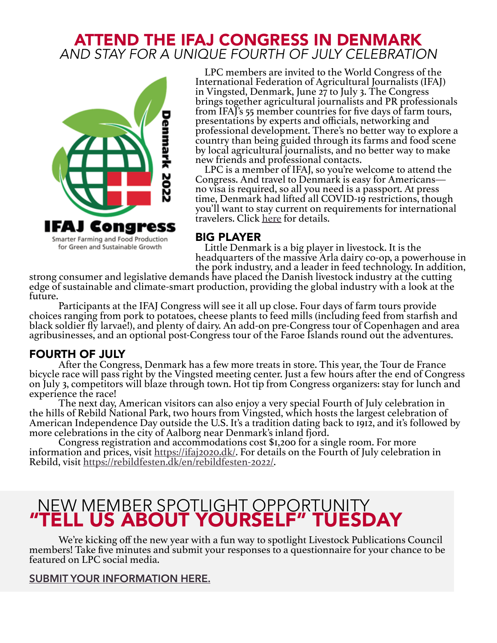## ATTEND THE IFAJ CONGRESS IN DENMARK *AND STAY FOR A UNIQUE FOURTH OF JULY CELEBRATION*



LPC members are invited to the World Congress of the International Federation of Agricultural Journalists (IFAJ) in Vingsted, Denmark, June 27 to July 3. The Congress brings together agricultural journalists and PR professionals from IFAJ's 55 member countries for five days of farm tours, presentations by experts and officials, networking and professional development. There's no better way to explore a country than being guided through its farms and food scene by local agricultural journalists, and no better way to make new friends and professional contacts.

LPC is a member of IFAJ, so you're welcome to attend the Congress. And travel to Denmark is easy for Americans no visa is required, so all you need is a passport. At press time, Denmark had lifted all COVID-19 restrictions, though you'll want to stay current on requirements for international travelers. Click [here](https://en.coronasmitte.dk/travel-rules/covidtravelrules) for details.

#### BIG PLAYER

Little Denmark is a big player in livestock. It is the headquarters of the massive Arla dairy co-op, a powerhouse in<br>the pork industry, and a leader in feed technology. In addition,

strong consumer and legislative demands have placed the Danish livestock industry at the cutting edge of sustainable and climate-smart production, providing the global industry with a look at the future.<br>Participants at the IFAJ Congress will see it all up close. Four days of farm tours provide

choices ranging from pork to potatoes, cheese plants to feed mills (including feed from starfish and black soldier fly larvae!), and plenty of dairy. An add-on pre-Congress tour of Copenhagen and area agribusinesses, and an optional post-Congress tour of the Faroe Islands round out the adventures.

**FOURTH OF JULY**<br>After the Congress, Denmark has a few more treats in store. This year, the Tour de France bicycle race will pass right by the Vingsted meeting center. Just a few hours after the end of Congress on July 3, competitors will blaze through town. Hot tip from Congress organizers: stay for lunch and experience the race!

The next day, American visitors can also enjoy a very special Fourth of July celebration in the hills of Rebild National Park, two hours from Vingsted, which hosts the largest celebration of American Independence Day outside the U.S. It's a tradition dating back to 1912, and it's followed by more celebrations in the city of Aalborg near Denmark's inland fjord.

Congress registration [and accommodatio](https://ifaj2020.dk/)ns cost \$1,200 for a single room. For more information [and prices, visit](https://rebildfesten.dk/en/rebildfesten-2022/) https://ifaj2o2o.dk/[. For deta](https://rebildfesten.dk/en/rebildfesten-2022/)ils on the Fourth of July celebration in Rebild, visit https://rebildfesten.dk/en

# "TELL US ABOUT YOURSELF" TUESDAY NEW MEMBER SPOTLIGHT OPPORTUNITY

We're kicking off the new year with a fun way to spotlight Livestock Publications Council members! Take five minutes and submit your responses to a questionnaire for your chance to be featured on LPC social media.

#### **[SUBMIT YOUR INFORMATION HERE.](https://forms.gle/stDfout8Ax9G4AJ79)**